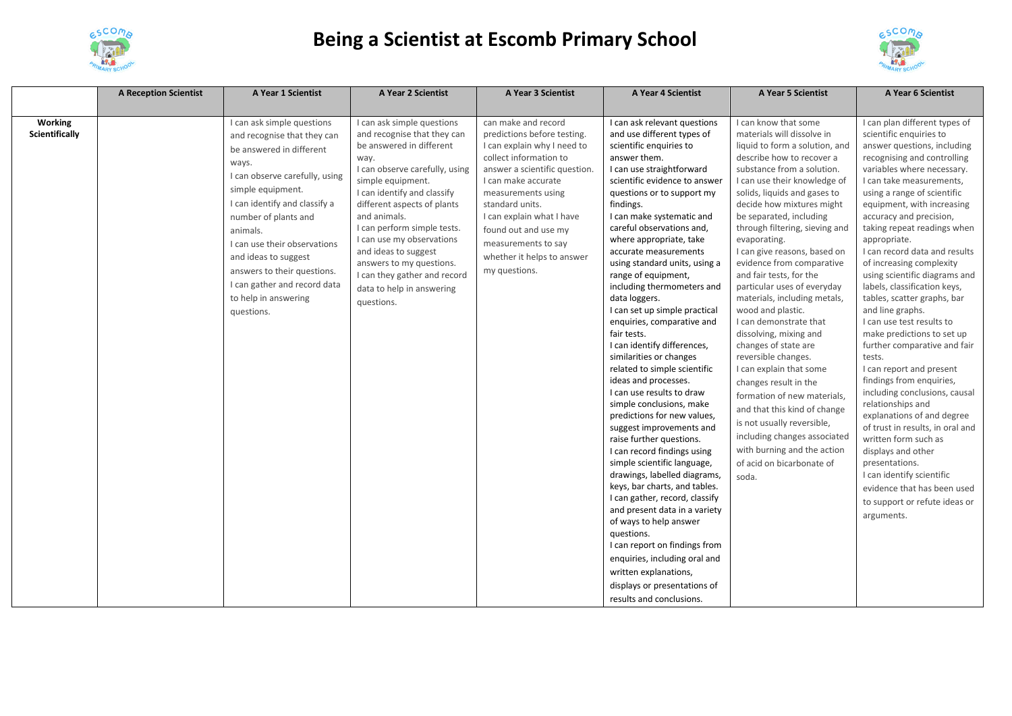

## **Being a Scientist at Escomb Primary School**



|                                  | <b>A Reception Scientist</b> | A Year 1 Scientist                                                                                                                                                                                                                                                                                                                                                                      | A Year 2 Scientist                                                                                                                                                                                                                                                                                                                                                                                                            | A Year 3 Scientist                                                                                                                                                                                                                                                                                                                      | A Year 4 Scientist                                                                                                                                                                                                                                                                                                                                                                                                                                                                                                                                                                                                                                                                                                                                                                                                                                                                                                                                                                                                                                                                                                                                                                   | A Year 5 Scientist                                                                                                                                                                                                                                                                                                                                                                                                                                                                                                                                                                                                                                                                                                                                                                                                                                             | A Year 6 Scientist                                                                                                                                                                                                                                                                                                                                                                                                                                                                                                                                                                                                                                                                                                                                                                                                                                                                                                                                                       |
|----------------------------------|------------------------------|-----------------------------------------------------------------------------------------------------------------------------------------------------------------------------------------------------------------------------------------------------------------------------------------------------------------------------------------------------------------------------------------|-------------------------------------------------------------------------------------------------------------------------------------------------------------------------------------------------------------------------------------------------------------------------------------------------------------------------------------------------------------------------------------------------------------------------------|-----------------------------------------------------------------------------------------------------------------------------------------------------------------------------------------------------------------------------------------------------------------------------------------------------------------------------------------|--------------------------------------------------------------------------------------------------------------------------------------------------------------------------------------------------------------------------------------------------------------------------------------------------------------------------------------------------------------------------------------------------------------------------------------------------------------------------------------------------------------------------------------------------------------------------------------------------------------------------------------------------------------------------------------------------------------------------------------------------------------------------------------------------------------------------------------------------------------------------------------------------------------------------------------------------------------------------------------------------------------------------------------------------------------------------------------------------------------------------------------------------------------------------------------|----------------------------------------------------------------------------------------------------------------------------------------------------------------------------------------------------------------------------------------------------------------------------------------------------------------------------------------------------------------------------------------------------------------------------------------------------------------------------------------------------------------------------------------------------------------------------------------------------------------------------------------------------------------------------------------------------------------------------------------------------------------------------------------------------------------------------------------------------------------|--------------------------------------------------------------------------------------------------------------------------------------------------------------------------------------------------------------------------------------------------------------------------------------------------------------------------------------------------------------------------------------------------------------------------------------------------------------------------------------------------------------------------------------------------------------------------------------------------------------------------------------------------------------------------------------------------------------------------------------------------------------------------------------------------------------------------------------------------------------------------------------------------------------------------------------------------------------------------|
|                                  |                              |                                                                                                                                                                                                                                                                                                                                                                                         |                                                                                                                                                                                                                                                                                                                                                                                                                               |                                                                                                                                                                                                                                                                                                                                         |                                                                                                                                                                                                                                                                                                                                                                                                                                                                                                                                                                                                                                                                                                                                                                                                                                                                                                                                                                                                                                                                                                                                                                                      |                                                                                                                                                                                                                                                                                                                                                                                                                                                                                                                                                                                                                                                                                                                                                                                                                                                                |                                                                                                                                                                                                                                                                                                                                                                                                                                                                                                                                                                                                                                                                                                                                                                                                                                                                                                                                                                          |
| Working<br><b>Scientifically</b> |                              | I can ask simple questions<br>and recognise that they can<br>be answered in different<br>ways.<br>I can observe carefully, using<br>simple equipment.<br>I can identify and classify a<br>number of plants and<br>animals.<br>I can use their observations<br>and ideas to suggest<br>answers to their questions.<br>I can gather and record data<br>to help in answering<br>questions. | I can ask simple questions<br>and recognise that they can<br>be answered in different<br>way.<br>I can observe carefully, using<br>simple equipment.<br>I can identify and classify<br>different aspects of plants<br>and animals.<br>I can perform simple tests.<br>I can use my observations<br>and ideas to suggest<br>answers to my questions.<br>I can they gather and record<br>data to help in answering<br>questions. | can make and record<br>predictions before testing.<br>I can explain why I need to<br>collect information to<br>answer a scientific question.<br>I can make accurate<br>measurements using<br>standard units.<br>I can explain what I have<br>found out and use my<br>measurements to say<br>whether it helps to answer<br>my questions. | I can ask relevant questions<br>and use different types of<br>scientific enquiries to<br>answer them.<br>I can use straightforward<br>scientific evidence to answer<br>questions or to support my<br>findings.<br>I can make systematic and<br>careful observations and,<br>where appropriate, take<br>accurate measurements<br>using standard units, using a<br>range of equipment,<br>including thermometers and<br>data loggers.<br>I can set up simple practical<br>enquiries, comparative and<br>fair tests.<br>I can identify differences,<br>similarities or changes<br>related to simple scientific<br>ideas and processes.<br>I can use results to draw<br>simple conclusions, make<br>predictions for new values,<br>suggest improvements and<br>raise further questions.<br>I can record findings using<br>simple scientific language,<br>drawings, labelled diagrams,<br>keys, bar charts, and tables.<br>I can gather, record, classify<br>and present data in a variety<br>of ways to help answer<br>questions.<br>I can report on findings from<br>enquiries, including oral and<br>written explanations,<br>displays or presentations of<br>results and conclusions. | I can know that some<br>materials will dissolve in<br>liquid to form a solution, and<br>describe how to recover a<br>substance from a solution.<br>I can use their knowledge of<br>solids, liquids and gases to<br>decide how mixtures might<br>be separated, including<br>through filtering, sieving and<br>evaporating.<br>I can give reasons, based on<br>evidence from comparative<br>and fair tests, for the<br>particular uses of everyday<br>materials, including metals,<br>wood and plastic.<br>I can demonstrate that<br>dissolving, mixing and<br>changes of state are<br>reversible changes.<br>I can explain that some<br>changes result in the<br>formation of new materials,<br>and that this kind of change<br>is not usually reversible,<br>including changes associated<br>with burning and the action<br>of acid on bicarbonate of<br>soda. | I can plan different types of<br>scientific enquiries to<br>answer questions, including<br>recognising and controlling<br>variables where necessary.<br>I can take measurements,<br>using a range of scientific<br>equipment, with increasing<br>accuracy and precision,<br>taking repeat readings when<br>appropriate.<br>I can record data and results<br>of increasing complexity<br>using scientific diagrams and<br>labels, classification keys,<br>tables, scatter graphs, bar<br>and line graphs.<br>I can use test results to<br>make predictions to set up<br>further comparative and fair<br>tests.<br>I can report and present<br>findings from enquiries,<br>including conclusions, causal<br>relationships and<br>explanations of and degree<br>of trust in results, in oral and<br>written form such as<br>displays and other<br>presentations.<br>I can identify scientific<br>evidence that has been used<br>to support or refute ideas or<br>arguments. |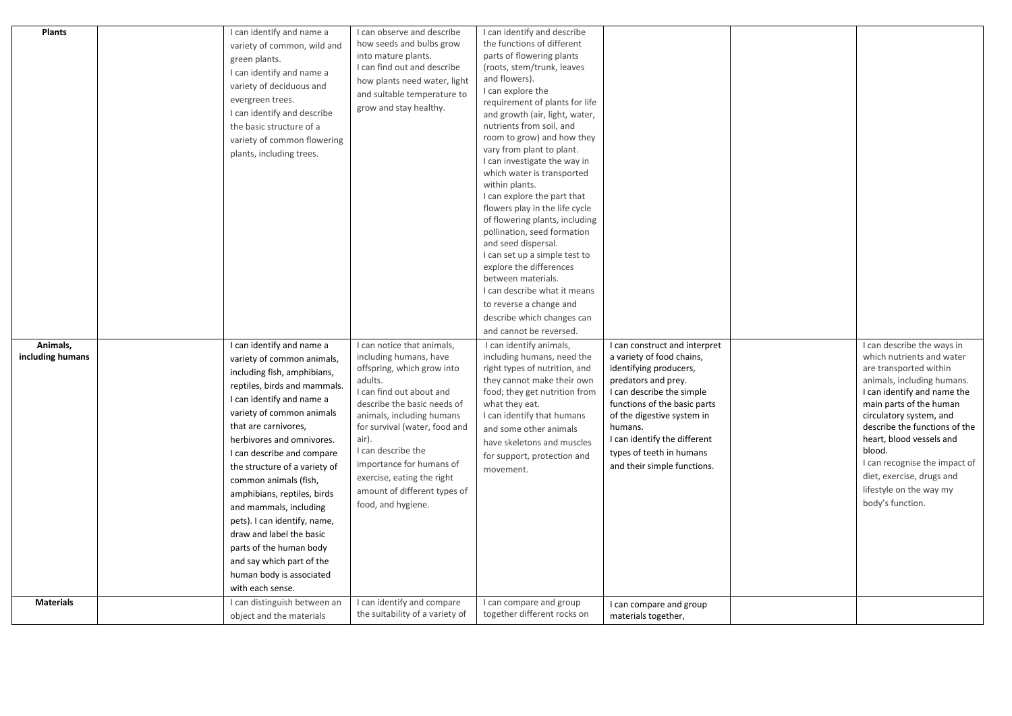| <b>Plants</b>                | I can identify and name a<br>variety of common, wild and<br>green plants.<br>I can identify and name a<br>variety of deciduous and<br>evergreen trees.<br>I can identify and describe<br>the basic structure of a<br>variety of common flowering<br>plants, including trees.                                                                                                                                                                                                                                                                               | I can observe and describe<br>how seeds and bulbs grow<br>into mature plants.<br>I can find out and describe<br>how plants need water, light<br>and suitable temperature to<br>grow and stay healthy.                                                                                                                                                                 | I can identify and describe<br>the functions of different<br>parts of flowering plants<br>(roots, stem/trunk, leaves<br>and flowers).<br>I can explore the<br>requirement of plants for life<br>and growth (air, light, water,<br>nutrients from soil, and<br>room to grow) and how they<br>vary from plant to plant.<br>I can investigate the way in<br>which water is transported<br>within plants.<br>I can explore the part that<br>flowers play in the life cycle<br>of flowering plants, including<br>pollination, seed formation<br>and seed dispersal.<br>I can set up a simple test to<br>explore the differences<br>between materials.<br>I can describe what it means<br>to reverse a change and<br>describe which changes can<br>and cannot be reversed. |                                                                                                                                                                                                                                                                                                              |                                                                                                                                                                                                                                                                                                                                                                                          |
|------------------------------|------------------------------------------------------------------------------------------------------------------------------------------------------------------------------------------------------------------------------------------------------------------------------------------------------------------------------------------------------------------------------------------------------------------------------------------------------------------------------------------------------------------------------------------------------------|-----------------------------------------------------------------------------------------------------------------------------------------------------------------------------------------------------------------------------------------------------------------------------------------------------------------------------------------------------------------------|----------------------------------------------------------------------------------------------------------------------------------------------------------------------------------------------------------------------------------------------------------------------------------------------------------------------------------------------------------------------------------------------------------------------------------------------------------------------------------------------------------------------------------------------------------------------------------------------------------------------------------------------------------------------------------------------------------------------------------------------------------------------|--------------------------------------------------------------------------------------------------------------------------------------------------------------------------------------------------------------------------------------------------------------------------------------------------------------|------------------------------------------------------------------------------------------------------------------------------------------------------------------------------------------------------------------------------------------------------------------------------------------------------------------------------------------------------------------------------------------|
| Animals,<br>including humans | I can identify and name a<br>variety of common animals,<br>including fish, amphibians,<br>reptiles, birds and mammals.<br>I can identify and name a<br>variety of common animals<br>that are carnivores,<br>herbivores and omnivores.<br>I can describe and compare<br>the structure of a variety of<br>common animals (fish,<br>amphibians, reptiles, birds<br>and mammals, including<br>pets). I can identify, name,<br>draw and label the basic<br>parts of the human body<br>and say which part of the<br>human body is associated<br>with each sense. | I can notice that animals,<br>including humans, have<br>offspring, which grow into<br>adults.<br>I can find out about and<br>describe the basic needs of<br>animals, including humans<br>for survival (water, food and<br>air).<br>I can describe the<br>importance for humans of<br>exercise, eating the right<br>amount of different types of<br>food, and hygiene. | I can identify animals,<br>including humans, need the<br>right types of nutrition, and<br>they cannot make their own<br>food; they get nutrition from<br>what they eat.<br>I can identify that humans<br>and some other animals<br>have skeletons and muscles<br>for support, protection and<br>movement.                                                                                                                                                                                                                                                                                                                                                                                                                                                            | I can construct and interpret<br>a variety of food chains,<br>identifying producers,<br>predators and prey.<br>I can describe the simple<br>functions of the basic parts<br>of the digestive system in<br>humans.<br>I can identify the different<br>types of teeth in humans<br>and their simple functions. | I can describe the ways in<br>which nutrients and water<br>are transported within<br>animals, including humans.<br>I can identify and name the<br>main parts of the human<br>circulatory system, and<br>describe the functions of the<br>heart, blood vessels and<br>blood.<br>I can recognise the impact of<br>diet, exercise, drugs and<br>lifestyle on the way my<br>body's function. |
| <b>Materials</b>             | I can distinguish between an<br>object and the materials                                                                                                                                                                                                                                                                                                                                                                                                                                                                                                   | I can identify and compare<br>the suitability of a variety of                                                                                                                                                                                                                                                                                                         | I can compare and group<br>together different rocks on                                                                                                                                                                                                                                                                                                                                                                                                                                                                                                                                                                                                                                                                                                               | I can compare and group<br>materials together,                                                                                                                                                                                                                                                               |                                                                                                                                                                                                                                                                                                                                                                                          |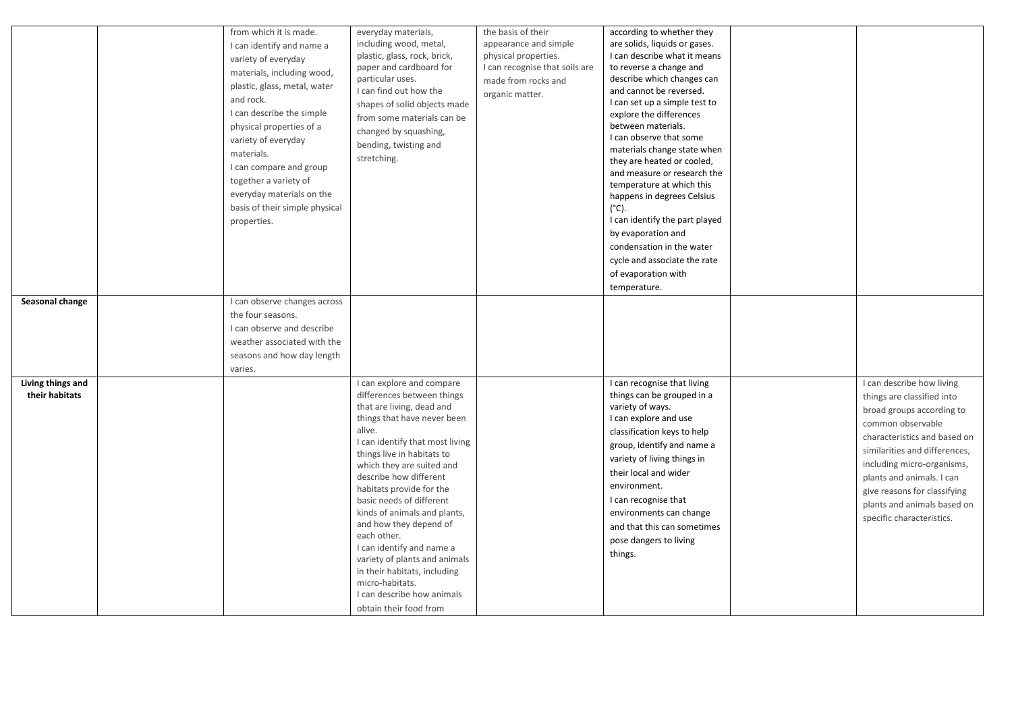| Seasonal change                     | from which it is made.<br>I can identify and name a<br>variety of everyday<br>materials, including wood,<br>plastic, glass, metal, water<br>and rock.<br>I can describe the simple<br>physical properties of a<br>variety of everyday<br>materials.<br>I can compare and group<br>together a variety of<br>everyday materials on the<br>basis of their simple physical<br>properties.<br>I can observe changes across<br>the four seasons.<br>I can observe and describe<br>weather associated with the | everyday materials,<br>including wood, metal,<br>plastic, glass, rock, brick,<br>paper and cardboard for<br>particular uses.<br>I can find out how the<br>shapes of solid objects made<br>from some materials can be<br>changed by squashing,<br>bending, twisting and<br>stretching.                                                                                                                                                                                                                                                                           | the basis of their<br>appearance and simple<br>physical properties.<br>I can recognise that soils are<br>made from rocks and<br>organic matter. | according to whether they<br>are solids, liquids or gases.<br>I can describe what it means<br>to reverse a change and<br>describe which changes can<br>and cannot be reversed.<br>I can set up a simple test to<br>explore the differences<br>between materials.<br>I can observe that some<br>materials change state when<br>they are heated or cooled,<br>and measure or research the<br>temperature at which this<br>happens in degrees Celsius<br>$(^{\circ}C)$ .<br>I can identify the part played<br>by evaporation and<br>condensation in the water<br>cycle and associate the rate<br>of evaporation with<br>temperature. |                                                                                                                                                                                                                                                                                                                                   |
|-------------------------------------|---------------------------------------------------------------------------------------------------------------------------------------------------------------------------------------------------------------------------------------------------------------------------------------------------------------------------------------------------------------------------------------------------------------------------------------------------------------------------------------------------------|-----------------------------------------------------------------------------------------------------------------------------------------------------------------------------------------------------------------------------------------------------------------------------------------------------------------------------------------------------------------------------------------------------------------------------------------------------------------------------------------------------------------------------------------------------------------|-------------------------------------------------------------------------------------------------------------------------------------------------|-----------------------------------------------------------------------------------------------------------------------------------------------------------------------------------------------------------------------------------------------------------------------------------------------------------------------------------------------------------------------------------------------------------------------------------------------------------------------------------------------------------------------------------------------------------------------------------------------------------------------------------|-----------------------------------------------------------------------------------------------------------------------------------------------------------------------------------------------------------------------------------------------------------------------------------------------------------------------------------|
| Living things and<br>their habitats | seasons and how day length<br>varies.                                                                                                                                                                                                                                                                                                                                                                                                                                                                   | I can explore and compare<br>differences between things<br>that are living, dead and<br>things that have never been<br>alive.<br>I can identify that most living<br>things live in habitats to<br>which they are suited and<br>describe how different<br>habitats provide for the<br>basic needs of different<br>kinds of animals and plants,<br>and how they depend of<br>each other.<br>I can identify and name a<br>variety of plants and animals<br>in their habitats, including<br>micro-habitats.<br>I can describe how animals<br>obtain their food from |                                                                                                                                                 | I can recognise that living<br>things can be grouped in a<br>variety of ways.<br>I can explore and use<br>classification keys to help<br>group, identify and name a<br>variety of living things in<br>their local and wider<br>environment.<br>I can recognise that<br>environments can change<br>and that this can sometimes<br>pose dangers to living<br>things.                                                                                                                                                                                                                                                                | I can describe how living<br>things are classified into<br>broad groups according to<br>common observable<br>characteristics and based on<br>similarities and differences,<br>including micro-organisms,<br>plants and animals. I can<br>give reasons for classifying<br>plants and animals based on<br>specific characteristics. |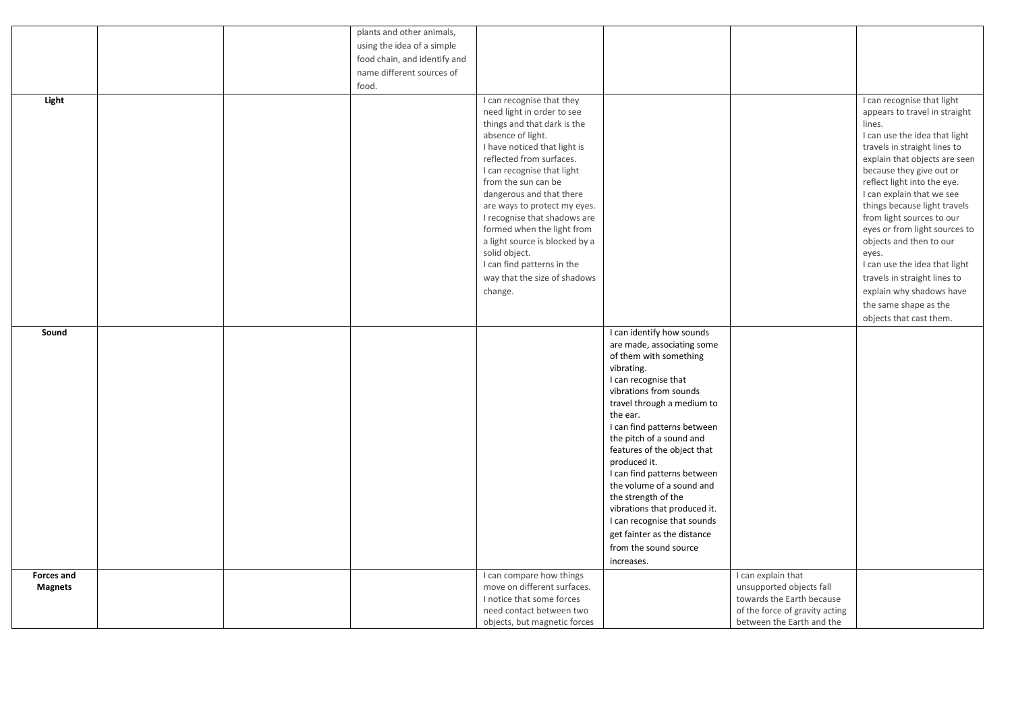|                   |  | plants and other animals,    |                                                         |                                                         |                                |                                                             |
|-------------------|--|------------------------------|---------------------------------------------------------|---------------------------------------------------------|--------------------------------|-------------------------------------------------------------|
|                   |  | using the idea of a simple   |                                                         |                                                         |                                |                                                             |
|                   |  | food chain, and identify and |                                                         |                                                         |                                |                                                             |
|                   |  | name different sources of    |                                                         |                                                         |                                |                                                             |
|                   |  | food.                        |                                                         |                                                         |                                |                                                             |
|                   |  |                              |                                                         |                                                         |                                |                                                             |
| Light             |  |                              | I can recognise that they<br>need light in order to see |                                                         |                                | I can recognise that light<br>appears to travel in straight |
|                   |  |                              | things and that dark is the                             |                                                         |                                | lines.                                                      |
|                   |  |                              | absence of light.                                       |                                                         |                                | I can use the idea that light                               |
|                   |  |                              | I have noticed that light is                            |                                                         |                                | travels in straight lines to                                |
|                   |  |                              | reflected from surfaces.                                |                                                         |                                | explain that objects are seen                               |
|                   |  |                              | I can recognise that light                              |                                                         |                                | because they give out or                                    |
|                   |  |                              | from the sun can be                                     |                                                         |                                | reflect light into the eye.                                 |
|                   |  |                              | dangerous and that there                                |                                                         |                                | I can explain that we see                                   |
|                   |  |                              | are ways to protect my eyes.                            |                                                         |                                | things because light travels                                |
|                   |  |                              | I recognise that shadows are                            |                                                         |                                | from light sources to our                                   |
|                   |  |                              | formed when the light from                              |                                                         |                                | eyes or from light sources to                               |
|                   |  |                              | a light source is blocked by a                          |                                                         |                                | objects and then to our                                     |
|                   |  |                              | solid object.                                           |                                                         |                                | eyes.                                                       |
|                   |  |                              | I can find patterns in the                              |                                                         |                                | I can use the idea that light                               |
|                   |  |                              | way that the size of shadows                            |                                                         |                                | travels in straight lines to                                |
|                   |  |                              | change.                                                 |                                                         |                                | explain why shadows have                                    |
|                   |  |                              |                                                         |                                                         |                                | the same shape as the                                       |
|                   |  |                              |                                                         |                                                         |                                | objects that cast them.                                     |
| Sound             |  |                              |                                                         | I can identify how sounds                               |                                |                                                             |
|                   |  |                              |                                                         | are made, associating some                              |                                |                                                             |
|                   |  |                              |                                                         | of them with something                                  |                                |                                                             |
|                   |  |                              |                                                         | vibrating.                                              |                                |                                                             |
|                   |  |                              |                                                         | I can recognise that                                    |                                |                                                             |
|                   |  |                              |                                                         | vibrations from sounds                                  |                                |                                                             |
|                   |  |                              |                                                         | travel through a medium to                              |                                |                                                             |
|                   |  |                              |                                                         | the ear.                                                |                                |                                                             |
|                   |  |                              |                                                         | I can find patterns between                             |                                |                                                             |
|                   |  |                              |                                                         | the pitch of a sound and<br>features of the object that |                                |                                                             |
|                   |  |                              |                                                         | produced it.                                            |                                |                                                             |
|                   |  |                              |                                                         | I can find patterns between                             |                                |                                                             |
|                   |  |                              |                                                         | the volume of a sound and                               |                                |                                                             |
|                   |  |                              |                                                         | the strength of the                                     |                                |                                                             |
|                   |  |                              |                                                         | vibrations that produced it.                            |                                |                                                             |
|                   |  |                              |                                                         | I can recognise that sounds                             |                                |                                                             |
|                   |  |                              |                                                         | get fainter as the distance                             |                                |                                                             |
|                   |  |                              |                                                         | from the sound source                                   |                                |                                                             |
|                   |  |                              |                                                         | increases.                                              |                                |                                                             |
| <b>Forces and</b> |  |                              | I can compare how things                                |                                                         | I can explain that             |                                                             |
| <b>Magnets</b>    |  |                              | move on different surfaces.                             |                                                         | unsupported objects fall       |                                                             |
|                   |  |                              | I notice that some forces                               |                                                         | towards the Earth because      |                                                             |
|                   |  |                              | need contact between two                                |                                                         |                                |                                                             |
|                   |  |                              |                                                         |                                                         | of the force of gravity acting |                                                             |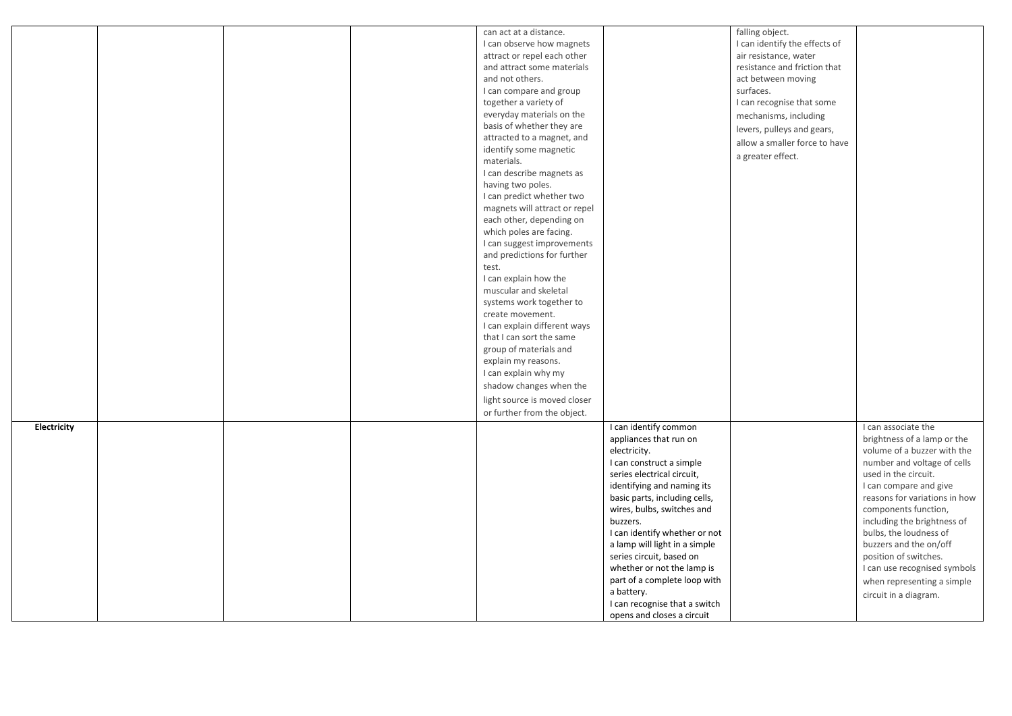|             |  | can act at a distance.        |                               | falling object.               |                               |
|-------------|--|-------------------------------|-------------------------------|-------------------------------|-------------------------------|
|             |  | I can observe how magnets     |                               | I can identify the effects of |                               |
|             |  | attract or repel each other   |                               | air resistance, water         |                               |
|             |  | and attract some materials    |                               | resistance and friction that  |                               |
|             |  | and not others.               |                               | act between moving            |                               |
|             |  | I can compare and group       |                               | surfaces.                     |                               |
|             |  | together a variety of         |                               | I can recognise that some     |                               |
|             |  | everyday materials on the     |                               | mechanisms, including         |                               |
|             |  | basis of whether they are     |                               |                               |                               |
|             |  | attracted to a magnet, and    |                               | levers, pulleys and gears,    |                               |
|             |  | identify some magnetic        |                               | allow a smaller force to have |                               |
|             |  | materials.                    |                               | a greater effect.             |                               |
|             |  | I can describe magnets as     |                               |                               |                               |
|             |  | having two poles.             |                               |                               |                               |
|             |  | I can predict whether two     |                               |                               |                               |
|             |  | magnets will attract or repel |                               |                               |                               |
|             |  | each other, depending on      |                               |                               |                               |
|             |  | which poles are facing.       |                               |                               |                               |
|             |  | I can suggest improvements    |                               |                               |                               |
|             |  | and predictions for further   |                               |                               |                               |
|             |  | test.                         |                               |                               |                               |
|             |  | I can explain how the         |                               |                               |                               |
|             |  | muscular and skeletal         |                               |                               |                               |
|             |  | systems work together to      |                               |                               |                               |
|             |  | create movement.              |                               |                               |                               |
|             |  | I can explain different ways  |                               |                               |                               |
|             |  | that I can sort the same      |                               |                               |                               |
|             |  | group of materials and        |                               |                               |                               |
|             |  | explain my reasons.           |                               |                               |                               |
|             |  |                               |                               |                               |                               |
|             |  | I can explain why my          |                               |                               |                               |
|             |  | shadow changes when the       |                               |                               |                               |
|             |  | light source is moved closer  |                               |                               |                               |
|             |  | or further from the object.   |                               |                               |                               |
| Electricity |  |                               | I can identify common         |                               | I can associate the           |
|             |  |                               | appliances that run on        |                               | brightness of a lamp or the   |
|             |  |                               | electricity.                  |                               | volume of a buzzer with the   |
|             |  |                               | I can construct a simple      |                               | number and voltage of cells   |
|             |  |                               | series electrical circuit,    |                               | used in the circuit.          |
|             |  |                               | identifying and naming its    |                               | I can compare and give        |
|             |  |                               | basic parts, including cells, |                               | reasons for variations in how |
|             |  |                               | wires, bulbs, switches and    |                               | components function,          |
|             |  |                               | buzzers.                      |                               | including the brightness of   |
|             |  |                               | I can identify whether or not |                               | bulbs, the loudness of        |
|             |  |                               | a lamp will light in a simple |                               | buzzers and the on/off        |
|             |  |                               | series circuit, based on      |                               | position of switches.         |
|             |  |                               | whether or not the lamp is    |                               | I can use recognised symbols  |
|             |  |                               | part of a complete loop with  |                               | when representing a simple    |
|             |  |                               | a battery.                    |                               | circuit in a diagram.         |
|             |  |                               | I can recognise that a switch |                               |                               |
|             |  |                               | opens and closes a circuit    |                               |                               |